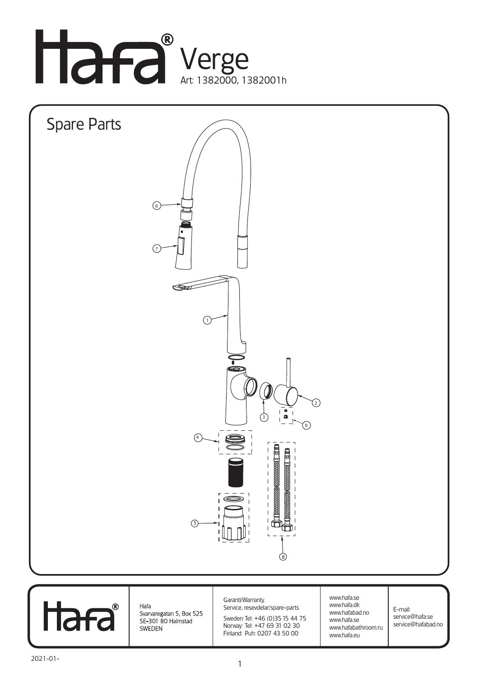





Hafa Svarvaregatan 5, Box 525 SE-301 80 Halmstad SWEDEN

Garanti/Warranty. Service, resevdelar/spare-parts

Sweden: Tel: +46 (0)35 15 44 75 Norway: Tel: +47 69 31 02 30 Finland: Puh: 0207 43 50 00

www.hafa.se www.hafa.dk www.hafabad.no www.hafa.se www.hafabathroom.ru www.hafa.eu

E-mail: service@hafa.se service@hafabad.no